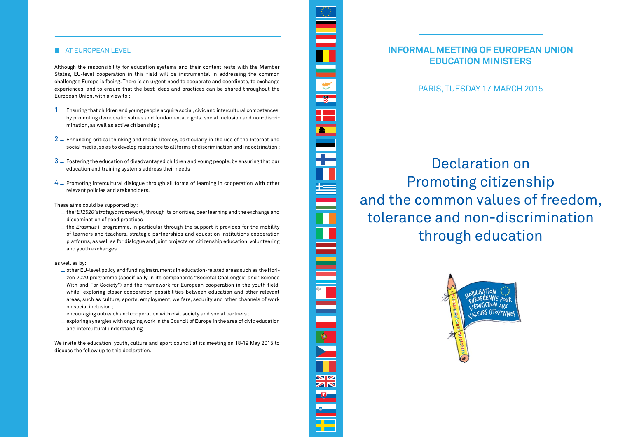**Informal meeting of European Union Education Ministers** 

## Declaration on Promoting citizenship and the common values of freedom, tolerance and non-discrimination through education



#### **AT EUROPEAN LEVEL**

Although the responsibility for education systems and their content rests with the Member States, EU-level cooperation in this field will be instrumental in addressing the common challenges Europe is facing. There is an urgent need to cooperate and coordinate, to exchange experiences, and to ensure that the best ideas and practices can be shared throughout the European Union, with a view to :

- $1 -$  Ensuring that children and young people acquire social, civic and intercultural competences, by promoting democratic values and fundamental rights, social inclusion and non-discrimination, as well as active citizenship ;
- $2$   $-$  Enhancing critical thinking and media literacy, particularly in the use of the Internet and social media, so as to develop resistance to all forms of discrimination and indoctrination ;
- $3-5$  Fostering the education of disadvantaged children and young people, by ensuring that our education and training systems address their needs ;
- $4-$  Promoting intercultural dialogue through all forms of learning in cooperation with other relevant policies and stakeholders.

- $-$  other EU-level policy and funding instruments in education-related areas such as the Horizon 2020 programme (specifically in its components "Societal Challenges" and "Science With and For Society") and the framework for European cooperation in the youth field, while exploring closer cooperation possibilities between education and other relevant areas, such as culture, sports, employment, welfare, security and other channels of work on social inclusion ;
- $-$  encouraging outreach and cooperation with civil society and social partners;
- $-$  exploring synergies with ongoing work in the Council of Europe in the area of civic education and intercultural understanding.

These aims could be supported by :

- \_ the *'ET2020' strategic framework,* through its priorities, peer learning and the exchange and dissemination of good practices ;
- \_ the *Erasmus+* programme, in particular through the support it provides for the mobility of learners and teachers, strategic partnerships and education institutions cooperation platforms, as well as for dialogue and joint projects on citizenship education, volunteering and youth exchanges ;

as well as by:

We invite the education, youth, culture and sport council at its meeting on 18-19 May 2015 to discuss the follow up to this declaration.

# $\overline{\mathbb{8}}$ <u>a matsa</u> <u>r m</u>  $\bullet$ **NZ** ZN

PARIS, TUESDAY 17 MARCH 2015